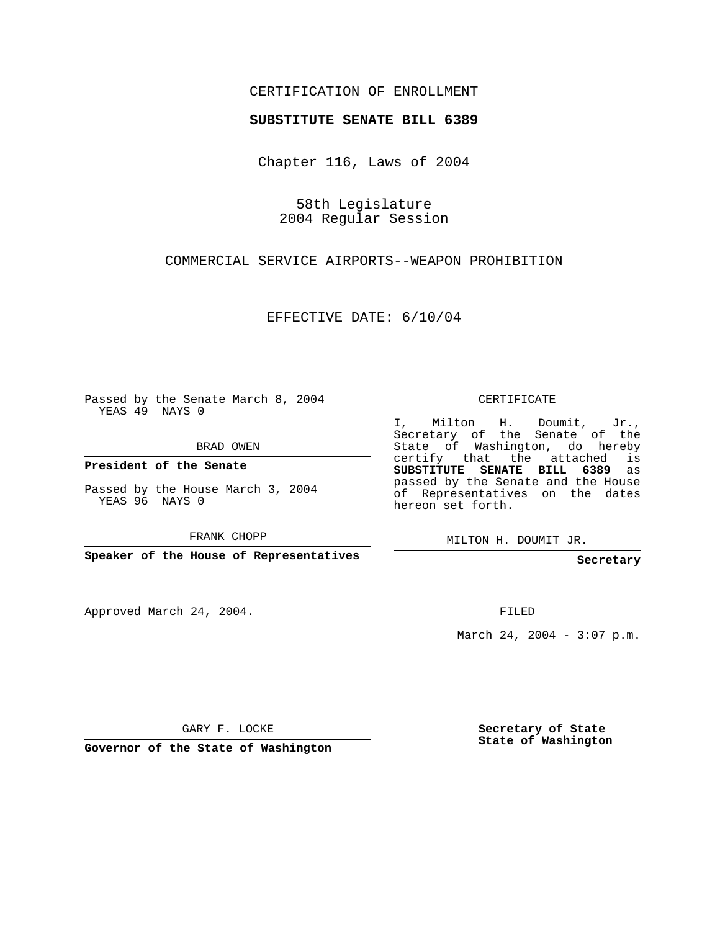## CERTIFICATION OF ENROLLMENT

## **SUBSTITUTE SENATE BILL 6389**

Chapter 116, Laws of 2004

58th Legislature 2004 Regular Session

COMMERCIAL SERVICE AIRPORTS--WEAPON PROHIBITION

EFFECTIVE DATE: 6/10/04

Passed by the Senate March 8, 2004 YEAS 49 NAYS 0

BRAD OWEN

**President of the Senate**

Passed by the House March 3, 2004 YEAS 96 NAYS 0

FRANK CHOPP

**Speaker of the House of Representatives**

Approved March 24, 2004.

CERTIFICATE

I, Milton H. Doumit, Jr., Secretary of the Senate of the State of Washington, do hereby certify that the attached is **SUBSTITUTE SENATE BILL 6389** as passed by the Senate and the House of Representatives on the dates hereon set forth.

MILTON H. DOUMIT JR.

**Secretary**

FILED

March 24, 2004 - 3:07 p.m.

GARY F. LOCKE

**Governor of the State of Washington**

**Secretary of State State of Washington**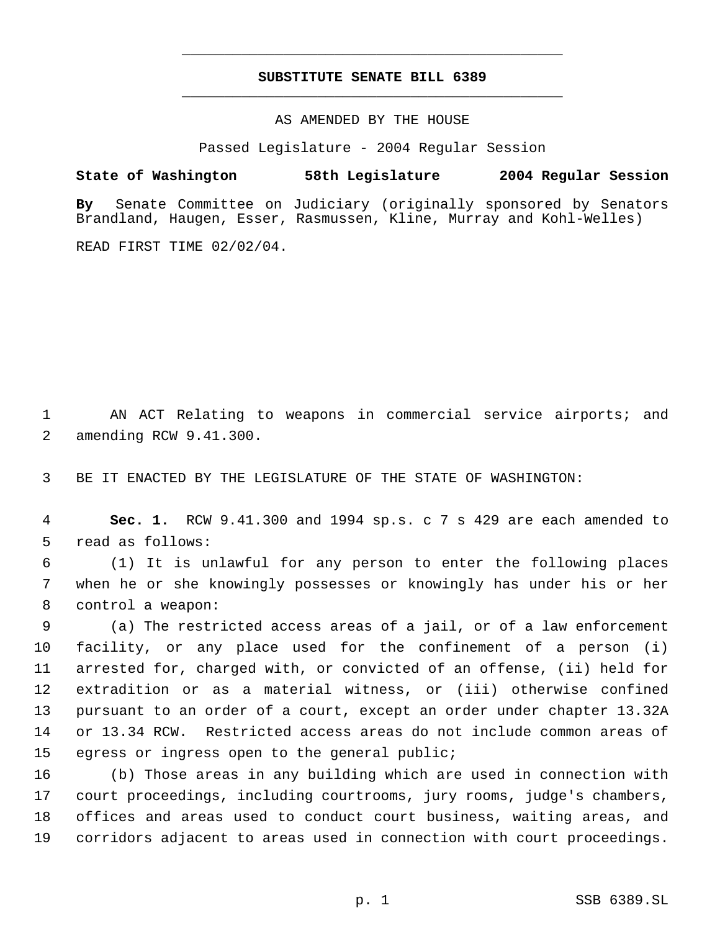## **SUBSTITUTE SENATE BILL 6389** \_\_\_\_\_\_\_\_\_\_\_\_\_\_\_\_\_\_\_\_\_\_\_\_\_\_\_\_\_\_\_\_\_\_\_\_\_\_\_\_\_\_\_\_\_

\_\_\_\_\_\_\_\_\_\_\_\_\_\_\_\_\_\_\_\_\_\_\_\_\_\_\_\_\_\_\_\_\_\_\_\_\_\_\_\_\_\_\_\_\_

AS AMENDED BY THE HOUSE

Passed Legislature - 2004 Regular Session

**State of Washington 58th Legislature 2004 Regular Session**

**By** Senate Committee on Judiciary (originally sponsored by Senators Brandland, Haugen, Esser, Rasmussen, Kline, Murray and Kohl-Welles)

READ FIRST TIME 02/02/04.

 AN ACT Relating to weapons in commercial service airports; and amending RCW 9.41.300.

BE IT ENACTED BY THE LEGISLATURE OF THE STATE OF WASHINGTON:

 **Sec. 1.** RCW 9.41.300 and 1994 sp.s. c 7 s 429 are each amended to read as follows:

 (1) It is unlawful for any person to enter the following places when he or she knowingly possesses or knowingly has under his or her control a weapon:

 (a) The restricted access areas of a jail, or of a law enforcement facility, or any place used for the confinement of a person (i) arrested for, charged with, or convicted of an offense, (ii) held for extradition or as a material witness, or (iii) otherwise confined pursuant to an order of a court, except an order under chapter 13.32A or 13.34 RCW. Restricted access areas do not include common areas of egress or ingress open to the general public;

 (b) Those areas in any building which are used in connection with court proceedings, including courtrooms, jury rooms, judge's chambers, offices and areas used to conduct court business, waiting areas, and corridors adjacent to areas used in connection with court proceedings.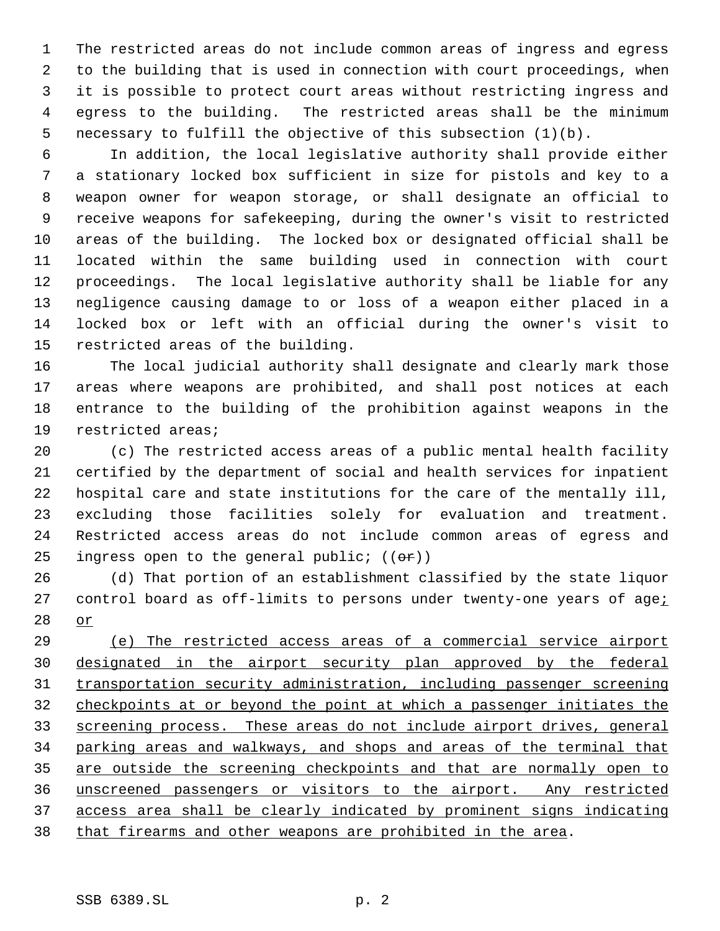The restricted areas do not include common areas of ingress and egress to the building that is used in connection with court proceedings, when it is possible to protect court areas without restricting ingress and egress to the building. The restricted areas shall be the minimum necessary to fulfill the objective of this subsection (1)(b).

 In addition, the local legislative authority shall provide either a stationary locked box sufficient in size for pistols and key to a weapon owner for weapon storage, or shall designate an official to receive weapons for safekeeping, during the owner's visit to restricted areas of the building. The locked box or designated official shall be located within the same building used in connection with court proceedings. The local legislative authority shall be liable for any negligence causing damage to or loss of a weapon either placed in a locked box or left with an official during the owner's visit to restricted areas of the building.

 The local judicial authority shall designate and clearly mark those areas where weapons are prohibited, and shall post notices at each entrance to the building of the prohibition against weapons in the restricted areas;

 (c) The restricted access areas of a public mental health facility certified by the department of social and health services for inpatient hospital care and state institutions for the care of the mentally ill, excluding those facilities solely for evaluation and treatment. Restricted access areas do not include common areas of egress and 25 ingress open to the general public;  $((\theta \cdot \hat{r}))$ 

 (d) That portion of an establishment classified by the state liquor 27 control board as off-limits to persons under twenty-one years of age<sub>i</sub> or

 (e) The restricted access areas of a commercial service airport designated in the airport security plan approved by the federal transportation security administration, including passenger screening checkpoints at or beyond the point at which a passenger initiates the screening process. These areas do not include airport drives, general parking areas and walkways, and shops and areas of the terminal that are outside the screening checkpoints and that are normally open to unscreened passengers or visitors to the airport. Any restricted access area shall be clearly indicated by prominent signs indicating 38 that firearms and other weapons are prohibited in the area.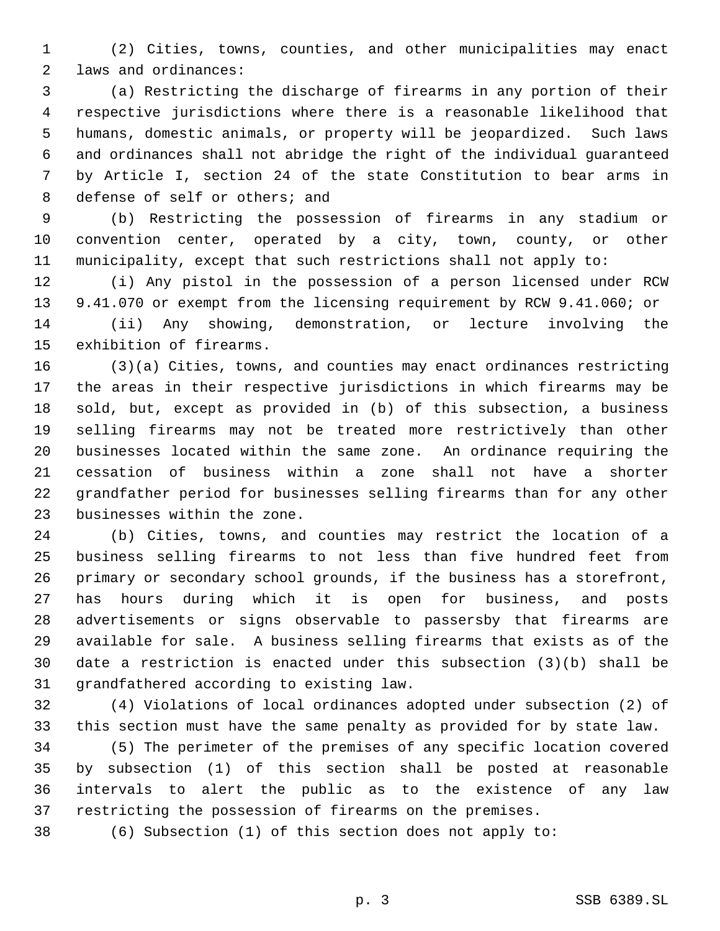(2) Cities, towns, counties, and other municipalities may enact laws and ordinances:

 (a) Restricting the discharge of firearms in any portion of their respective jurisdictions where there is a reasonable likelihood that humans, domestic animals, or property will be jeopardized. Such laws and ordinances shall not abridge the right of the individual guaranteed by Article I, section 24 of the state Constitution to bear arms in 8 defense of self or others; and

 (b) Restricting the possession of firearms in any stadium or convention center, operated by a city, town, county, or other municipality, except that such restrictions shall not apply to:

 (i) Any pistol in the possession of a person licensed under RCW 9.41.070 or exempt from the licensing requirement by RCW 9.41.060; or (ii) Any showing, demonstration, or lecture involving the exhibition of firearms.

 (3)(a) Cities, towns, and counties may enact ordinances restricting the areas in their respective jurisdictions in which firearms may be sold, but, except as provided in (b) of this subsection, a business selling firearms may not be treated more restrictively than other businesses located within the same zone. An ordinance requiring the cessation of business within a zone shall not have a shorter grandfather period for businesses selling firearms than for any other businesses within the zone.

 (b) Cities, towns, and counties may restrict the location of a business selling firearms to not less than five hundred feet from primary or secondary school grounds, if the business has a storefront, has hours during which it is open for business, and posts advertisements or signs observable to passersby that firearms are available for sale. A business selling firearms that exists as of the date a restriction is enacted under this subsection (3)(b) shall be grandfathered according to existing law.

 (4) Violations of local ordinances adopted under subsection (2) of this section must have the same penalty as provided for by state law.

 (5) The perimeter of the premises of any specific location covered by subsection (1) of this section shall be posted at reasonable intervals to alert the public as to the existence of any law restricting the possession of firearms on the premises.

(6) Subsection (1) of this section does not apply to: